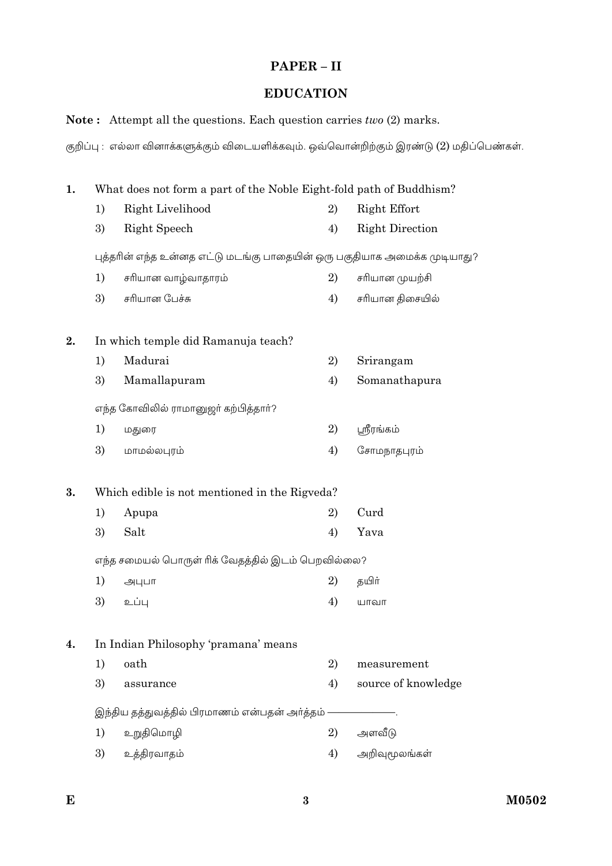# $PAPER - II$

## **EDUCATION**

### Note: Attempt all the questions. Each question carries two (2) marks.

குறிப்பு : எல்லா வினாக்களுக்கும் விடையளிக்கவும். ஒவ்வொன்றிற்கும் இரண்டு (2) மதிப்பெண்கள்.

| What does not form a part of the Noble Eight-fold path of Buddhism?<br>1. |                                               |                                                                          |    |                        |  |
|---------------------------------------------------------------------------|-----------------------------------------------|--------------------------------------------------------------------------|----|------------------------|--|
|                                                                           | 1)                                            | Right Livelihood                                                         | 2) | Right Effort           |  |
|                                                                           | 3)                                            | <b>Right Speech</b>                                                      | 4) | <b>Right Direction</b> |  |
|                                                                           |                                               | புத்தரின் எந்த உன்னத எட்டு மடங்கு பாதையின் ஒரு பகுதியாக அமைக்க முடியாது? |    |                        |  |
|                                                                           | 1)                                            | சரியான வாழ்வாதாரம்                                                       | 2) | சரியான முயற்சி         |  |
|                                                                           | 3)                                            | சரியான பேச்சு                                                            | 4) | சரியான திசையில்        |  |
| 2.                                                                        |                                               | In which temple did Ramanuja teach?                                      |    |                        |  |
|                                                                           | 1)                                            | Madurai                                                                  | 2) | Srirangam              |  |
|                                                                           | 3)                                            | Mamallapuram                                                             | 4) | Somanathapura          |  |
|                                                                           |                                               | எந்த கோவிலில் ராமானுஜா் கற்பித்தாா்?                                     |    |                        |  |
|                                                                           | 1)                                            | மதுரை                                                                    | 2) | பூரீரங்கம்             |  |
|                                                                           | 3)                                            | மாமல்லபுரம்                                                              | 4) | சோமநாதபுரம்            |  |
| 3.                                                                        | Which edible is not mentioned in the Rigveda? |                                                                          |    |                        |  |
|                                                                           | 1)                                            | Apupa                                                                    | 2) | Curd                   |  |
|                                                                           | 3)                                            | Salt                                                                     | 4) | Yava                   |  |
|                                                                           |                                               | எந்த சமையல் பொருள் ரிக் வேதத்தில் இடம் பெறவில்லை?                        |    |                        |  |
|                                                                           | 1)                                            | அபுபா                                                                    | 2) | தயிா்                  |  |
|                                                                           | 3)                                            | உப்பு                                                                    | 4) | யாவா                   |  |
| 4.                                                                        |                                               | In Indian Philosophy 'pramana' means                                     |    |                        |  |
|                                                                           | 1)                                            | oath                                                                     | 2) | measurement            |  |
|                                                                           | 3)                                            | assurance                                                                | 4) | source of knowledge    |  |
|                                                                           | இந்திய தத்துவத்தில் பிரமாணம் என்பதன் அர்த்தம் |                                                                          |    |                        |  |
|                                                                           | 1)                                            | உறுதிமொழி                                                                | 2) | அளவீடு                 |  |
|                                                                           | 3)                                            | உத்திரவாதம்                                                              | 4) | அறிவுமூலங்கள்          |  |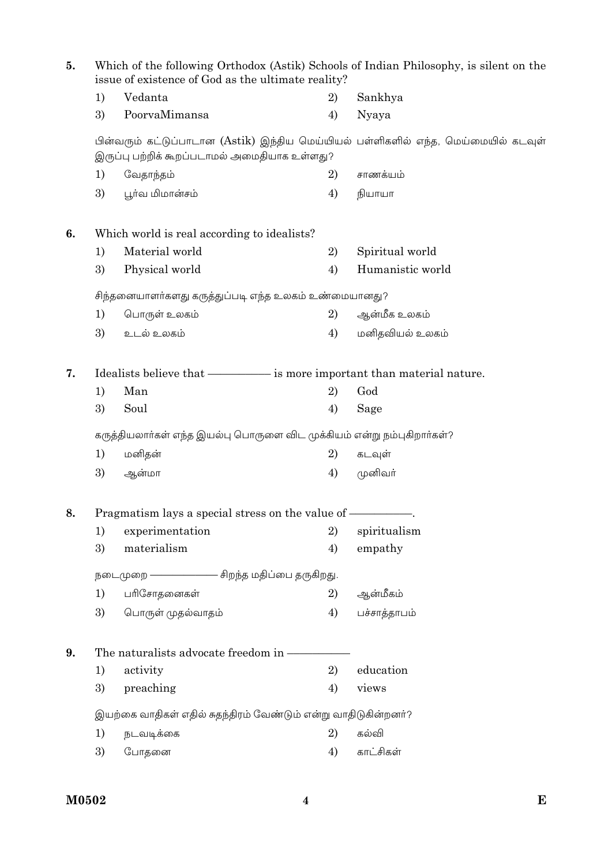| 5. |                                                                        | Which of the following Orthodox (Astik) Schools of Indian Philosophy, is silent on the<br>issue of existence of God as the ultimate reality? |    |                                                                                    |  |  |
|----|------------------------------------------------------------------------|----------------------------------------------------------------------------------------------------------------------------------------------|----|------------------------------------------------------------------------------------|--|--|
|    | 1)                                                                     | Vedanta                                                                                                                                      | 2) | Sankhya                                                                            |  |  |
|    | 3)                                                                     | PoorvaMimansa                                                                                                                                | 4) | Nyaya                                                                              |  |  |
|    |                                                                        | இருப்பு பற்றிக் கூறப்படாமல் அமைதியாக உள்ளது?                                                                                                 |    | பின்வரும் கட்டுப்பாடான (Astik) இந்திய மெய்யியல் பள்ளிகளில் எந்த, மெய்மையில் கடவுள் |  |  |
|    | 1)                                                                     | வேதாந்தம்                                                                                                                                    | 2) | சாணக்யம்                                                                           |  |  |
|    | 3)                                                                     | பூர்வ மிமான்சம்                                                                                                                              | 4) | நியாயா                                                                             |  |  |
| 6. |                                                                        | Which world is real according to idealists?                                                                                                  |    |                                                                                    |  |  |
|    | 1)                                                                     | Material world                                                                                                                               | 2) | Spiritual world                                                                    |  |  |
|    | 3)                                                                     | Physical world                                                                                                                               | 4) | Humanistic world                                                                   |  |  |
|    |                                                                        | சிந்தனையாளா்களது கருத்துப்படி எந்த உலகம் உண்மையானது?                                                                                         |    |                                                                                    |  |  |
|    | 1)                                                                     | பொருள் உலகம்                                                                                                                                 | 2) | ஆன்மீக உலகம்                                                                       |  |  |
|    | 3)                                                                     | உடல் உலகம்                                                                                                                                   | 4) | மனிதவியல் உலகம்                                                                    |  |  |
| 7. | Idealists believe that - is more important than material nature.       |                                                                                                                                              |    |                                                                                    |  |  |
|    | 1)                                                                     | Man                                                                                                                                          | 2) | God                                                                                |  |  |
|    | 3)                                                                     | Soul                                                                                                                                         | 4) | Sage                                                                               |  |  |
|    | கருத்தியலாா்கள் எந்த இயல்பு பொருளை விட முக்கியம் என்று நம்புகிறாா்கள்? |                                                                                                                                              |    |                                                                                    |  |  |
|    | 1)                                                                     | மனிதன்                                                                                                                                       | 2) | கடவுள்                                                                             |  |  |
|    | 3)                                                                     | ஆன்மா                                                                                                                                        | 4) | முனிவர்                                                                            |  |  |
| 8. |                                                                        | Pragmatism lays a special stress on the value of -                                                                                           |    |                                                                                    |  |  |
|    | 1)                                                                     | experimentation                                                                                                                              | 2) | spiritualism                                                                       |  |  |
|    | 3)                                                                     | materialism                                                                                                                                  | 4) | empathy                                                                            |  |  |
|    | நடைமுறை —————————— சிறந்த மதிப்பை தருகிறது.                            |                                                                                                                                              |    |                                                                                    |  |  |
|    | 1)                                                                     | பரிசோதனைகள்                                                                                                                                  | 2) | ஆன்மீகம்                                                                           |  |  |
|    | 3)                                                                     | பொருள் முதல்வாதம்                                                                                                                            | 4) | பச்சாத்தாபம்                                                                       |  |  |
| 9. |                                                                        | The naturalists advocate freedom in -                                                                                                        |    |                                                                                    |  |  |
|    | 1)                                                                     | activity                                                                                                                                     | 2) | education                                                                          |  |  |
|    | 3)                                                                     | preaching                                                                                                                                    | 4) | views                                                                              |  |  |
|    | இயற்கை வாதிகள் எதில் சுதந்திரம் வேண்டும் என்று வாதிடுகின்றனர்?         |                                                                                                                                              |    |                                                                                    |  |  |
|    | 1)                                                                     | நடவடிக்கை                                                                                                                                    | 2) | கல்வி                                                                              |  |  |
|    | 3)                                                                     | போதனை                                                                                                                                        | 4) | காட்சிகள்                                                                          |  |  |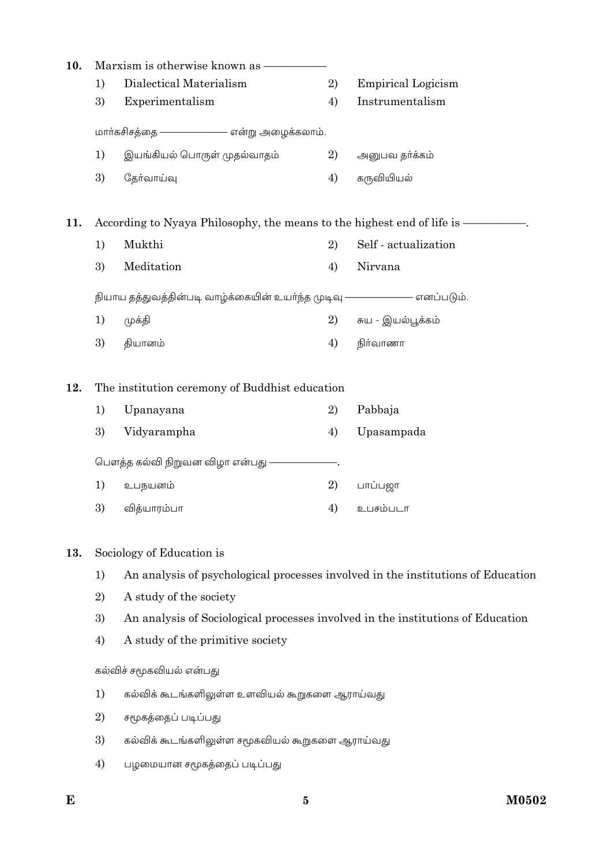| 10. |    | Marxism is otherwise known as                                            |    |                                                                                  |
|-----|----|--------------------------------------------------------------------------|----|----------------------------------------------------------------------------------|
|     | 1) | Dialectical Materialism                                                  | 2) | <b>Empirical Logicism</b>                                                        |
|     | 3) | Experimentalism                                                          | 4) | Instrumentalism                                                                  |
|     |    | மாா்கசிசத்தை <del>- - - - - - - - - - எ</del> ன்று அழைக்கலாம்.           |    |                                                                                  |
|     | 1) | இயங்கியல் பொருள் முதல்வாதம்                                              | 2) | அனுபவ தர்க்கம்                                                                   |
|     | 3) | தேர்வாய்வு                                                               | 4) | கருவியியல்                                                                       |
| 11. |    | According to Nyaya Philosophy, the means to the highest end of life is — |    |                                                                                  |
|     | 1) | Mukthi                                                                   | 2) | Self - actualization                                                             |
|     | 3) | Meditation                                                               | 4) | Nirvana                                                                          |
|     |    | நியாய தத்துவத்தின்படி வாழ்க்கையின் உயர்ந்த முடிவு ———————— எனப்படும்.    |    |                                                                                  |
|     | 1) | முக்தி                                                                   | 2) | சுய - இயல்பூக்கம்                                                                |
|     | 3) | தியானம்                                                                  | 4) | நிர்வாணா                                                                         |
| 12. |    | The institution ceremony of Buddhist education                           |    |                                                                                  |
|     | 1) | Upanayana                                                                | 2) | Pabbaja                                                                          |
|     | 3) | Vidyarampha                                                              | 4) | Upasampada                                                                       |
|     |    | பௌத்த கல்வி நிறுவன விழா என்பது ————————.                                 |    |                                                                                  |
|     | 1) | உபநயனம்                                                                  | 2) | பாப்பஜா                                                                          |
|     | 3) | வித்யாரம்பா                                                              | 4) | உபசம்படா                                                                         |
| 13. |    | Sociology of Education is                                                |    |                                                                                  |
|     | 1) |                                                                          |    | An analysis of psychological processes involved in the institutions of Education |
|     | 2) | A study of the society                                                   |    |                                                                                  |
|     | 3) |                                                                          |    | An analysis of Sociological processes involved in the institutions of Education  |
|     | 4) | A study of the primitive society                                         |    |                                                                                  |
|     |    | கல்விச் சமூகவியல் என்பது                                                 |    |                                                                                  |
|     | 1) | கல்விக் கூடங்களிலுள்ள உளவியல் கூறுகளை ஆராய்வது                           |    |                                                                                  |
|     | 2) | சமூகத்தைப் படிப்பது                                                      |    |                                                                                  |
|     | 3) | கல்விக் கூடங்களிலுள்ள சமூகவியல் கூறுகளை ஆராய்வது                         |    |                                                                                  |
|     | 4) | பழமையான சமூகத்தைப் படிப்பது                                              |    |                                                                                  |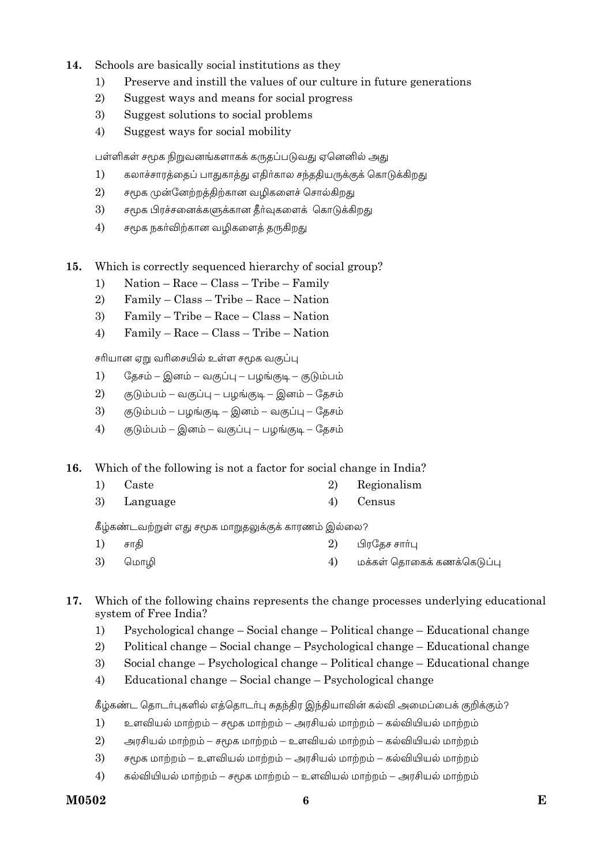- $14.$ Schools are basically social institutions as they
	- Preserve and instill the values of our culture in future generations  $1)$
	- $\overline{2}$ Suggest ways and means for social progress
	- 3) Suggest solutions to social problems
	- $4)$ Suggest ways for social mobility

பள்ளிகள் சமூக நிறுவனங்களாகக் கருதப்படுவது ஏனெனில் அது

- கலாச்சாரத்தைப் பாதுகாத்து எதிர்கால சந்ததியருக்குக் கொடுக்கிறது  $1)$
- $2)$ சமூக முன்னேற்றத்திற்கான வழிகளைச் சொல்கிறது
- 3) சமூக பிரச்சனைக்களுக்கான கீர்வுகளைக் கொடுக்கிறது
- $4)$ சமூக நகர்விற்கான வழிகளைத் தருகிறது
- $15.$ Which is correctly sequenced hierarchy of social group?
	- Nation Race Class Tribe Family  $1)$
	- $\overline{2}$  $Family - Class - Triple - Race - Nation$
	- 3) Family - Tribe - Race - Class - Nation
	- $4)$ Family - Race - Class - Tribe - Nation

சரியான ஏறு வரிசையில் உள்ள சமூக வகுப்பு

- $1)$ தேசம் – இனம் – வகுப்பு – பழங்குடி – குடும்பம்
- $2)$ குடும்பம் – வகுப்பு – பழங்குடி – இனம் – தேசம்
- 3) குடும்பம் – பழங்குடி – இனம் – வகுப்பு – தேசம்
- $4)$ குடும்பம் – இனம் – வகுப்பு – பழங்குடி – தேசம்

16. Which of the following is not a factor for social change in India?

- $1)$ Caste 2) Regionalism
- 3) Language  $4)$ Census

கீழ்கண்டவற்றுள் எது சமூக மாறுதலுக்குக் காரணம் இல்லை?

- 2)  $1)$ சாகி பிரதேச சார்பு
- 3)  $4)$ மொமி மக்கள் தொகைக் கணக்கெடுப்பு
- 17. Which of the following chains represents the change processes underlying educational system of Free India?
	- Psychological change Social change Political change Educational change  $1)$
	- Political change Social change Psychological change Educational change 2)
	- $\overline{3}$ Social change – Psychological change – Political change – Educational change
	- $4)$ Educational change – Social change – Psychological change

கீழ்கண்ட தொடர்புகளில் எத்தொடர்பு சுதந்திர இந்தியாவின் கல்வி அமைப்பைக் குறிக்கும்?

- $1)$ உளவியல் மாற்றம் – சமூக மாற்றம் – அரசியல் மாற்றம் – கல்வியியல் மாற்றம்
- $2)$ அரசியல் மாற்றம் – சமூக மாற்றம் – உளவியல் மாற்றம் – கல்வியியல் மாற்றம்
- 3) சமூக மாற்றம் – உளவியல் மாற்றம் – அரசியல் மாற்றம் – கல்வியியல் மாற்றம்
- $4)$ கல்வியியல் மாற்றம் – சமூக மாற்றம் – உளவியல் மாற்றம் – அரசியல் மாற்றம்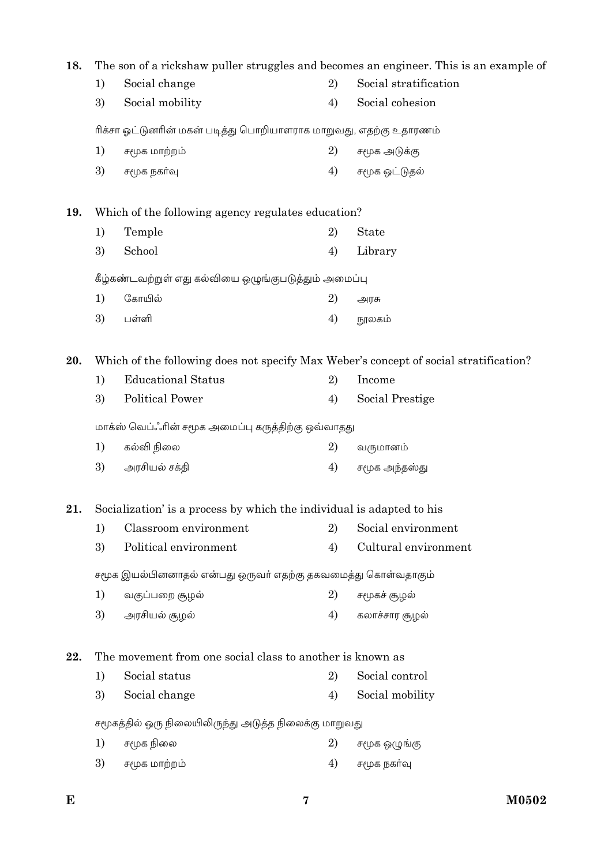| 18. |                                                                   | The son of a rickshaw puller struggles and becomes an engineer. This is an example of |    |                       |  |  |
|-----|-------------------------------------------------------------------|---------------------------------------------------------------------------------------|----|-----------------------|--|--|
|     | 1)                                                                | Social change                                                                         | 2) | Social stratification |  |  |
|     | 3)                                                                | Social mobility                                                                       | 4) | Social cohesion       |  |  |
|     | ரிக்சா ஓட்டுனரின் மகன் படித்து பொறியாளராக மாறுவது, எதற்கு உதாரணம் |                                                                                       |    |                       |  |  |
|     | 1)                                                                | சமூக மாற்றம்                                                                          | 2) | சமூக அடுக்கு          |  |  |
|     | 3)                                                                | சமூக நகர்வு                                                                           | 4) | சமூக ஒட்டுதல்         |  |  |
| 19. |                                                                   | Which of the following agency regulates education?                                    |    |                       |  |  |
|     | 1)                                                                | Temple                                                                                | 2) | <b>State</b>          |  |  |
|     | 3)                                                                | School                                                                                | 4) | Library               |  |  |
|     |                                                                   | கீழ்கண்டவற்றுள் எது கல்வியை ஒழுங்குபடுத்தும் அமைப்பு                                  |    |                       |  |  |
|     | 1)                                                                | கோயில்                                                                                | 2) | அரசு                  |  |  |
|     | 3)                                                                | பள்ளி                                                                                 | 4) | நூலகம்                |  |  |
| 20. |                                                                   | Which of the following does not specify Max Weber's concept of social stratification? |    |                       |  |  |
|     | 1)                                                                | <b>Educational Status</b>                                                             | 2) | Income                |  |  |
|     | 3)                                                                | <b>Political Power</b>                                                                | 4) | Social Prestige       |  |  |
|     |                                                                   | மாக்ஸ் வெப்ஃரின் சமூக அமைப்பு கருத்திற்கு ஒவ்வாதது                                    |    |                       |  |  |
|     | 1)                                                                | கல்வி நிலை                                                                            | 2) | வருமானம்              |  |  |
|     | 3)                                                                | அரசியல் சக்தி                                                                         | 4) | சமூக அந்தஸ்து         |  |  |
| 21. |                                                                   | Socialization' is a process by which the individual is adapted to his                 |    |                       |  |  |
|     | 1)                                                                | Classroom environment                                                                 | 2) | Social environment    |  |  |
|     | 3)                                                                | Political environment                                                                 | 4) | Cultural environment  |  |  |
|     |                                                                   | சமூக இயல்பினனாதல் என்பது ஒருவா் எதற்கு தகவமைத்து கொள்வதாகும்                          |    |                       |  |  |
|     | 1)                                                                | வகுப்பறை சூழல்                                                                        | 2) | சமூகச் சூழல்          |  |  |
|     | 3)                                                                | அரசியல் சூழல்                                                                         | 4) | கலாச்சார சூழல்        |  |  |
| 22. |                                                                   | The movement from one social class to another is known as                             |    |                       |  |  |
|     | 1)                                                                | Social status                                                                         | 2) | Social control        |  |  |
|     | 3)                                                                | Social change                                                                         | 4) | Social mobility       |  |  |
|     |                                                                   | சமூகத்தில் ஒரு நிலையிலிருந்து அடுத்த நிலைக்கு மாறுவது                                 |    |                       |  |  |
|     | 1)                                                                | சமூக நிலை                                                                             | 2) | சமூக ஒழுங்கு          |  |  |
|     | 3)                                                                | சமூக மாற்றம்                                                                          | 4) | சமூக நகர்வு           |  |  |
|     |                                                                   |                                                                                       |    |                       |  |  |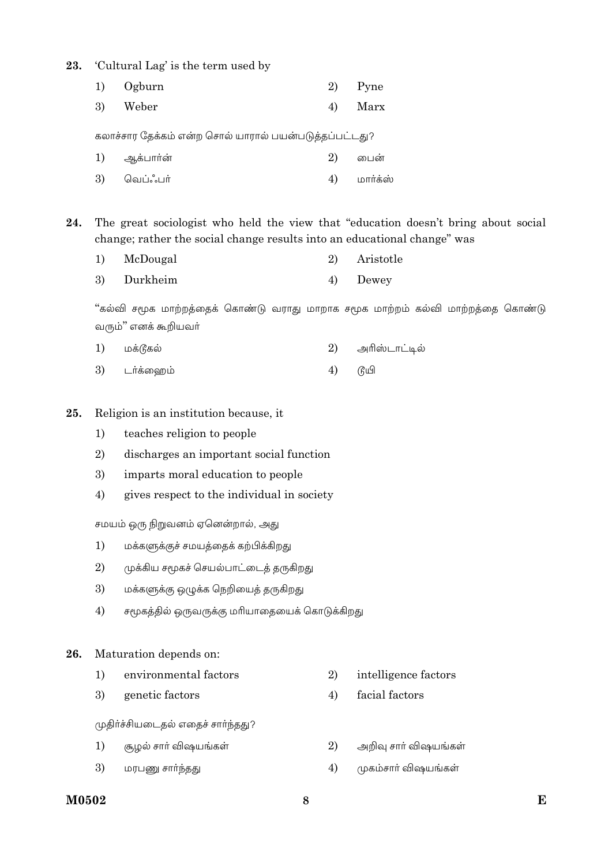#### 23. 'Cultural Lag' is the term used by

| 1) Ogburn | 2) Pyne |
|-----------|---------|
| 3) Weber  | 4) Marx |

கலாச்சார தேக்கம் என்ற சொல் யாரால் பயன்படுத்தப்பட்டது?

| 1) ஆக்பார்ன் | 2) | பைன்     |
|--------------|----|----------|
| 3) வெப்ஃபர்  |    | மார்க்ஸ் |

The great sociologist who held the view that "education doesn't bring about social 24. change; rather the social change results into an educational change" was

- $1)$ McDougal 2) Aristotle
- 3) Durkheim  $4)$ Dewey

"கல்வி சமூக மாற்றத்தைக் கொண்டு வராது மாறாக சமூக மாற்றம் கல்வி மாற்றத்தை கொண்டு வரும்" எனக் கூறியவா்

| 1) மக்டூகல் |  | 2) அரிஸ்டாட்டில் |
|-------------|--|------------------|
|-------------|--|------------------|

3) டர்க்ஹைம்  $4)$ டுயி

#### 25. Religion is an institution because, it

- teaches religion to people  $1)$
- 2) discharges an important social function
- 3) imparts moral education to people
- $4)$ gives respect to the individual in society

சமயம் ஒரு நிறுவனம் ஏனென்றால், அது

- $1)$ மக்களுக்குச் சமயத்தைக் கற்பிக்கிறது
- 2) முக்கிய சமூகச் செயல்பாட்டைத் தருகிறது
- 3) மக்களுக்கு ஒழுக்க நெறியைத் தருகிறது
- $4)$ சமூகத்தில் ஒருவருக்கு மரியாதையைக் கொடுக்கிறது

#### 26. Maturation depends on:

| environmental factors |  | intelligence factors |
|-----------------------|--|----------------------|
|-----------------------|--|----------------------|

3) genetic factors facial factors  $4)$ 

முதிா்ச்சியடைதல் எதைச் சாா்ந்தது?

- $1)$ சூழல் சாா் விஷயங்கள் 2) அறிவு சார் விஷயங்கள்
- 3) முகம்சாா் விஷயங்கள் மரபணு சார்ந்தது  $4)$

### M0502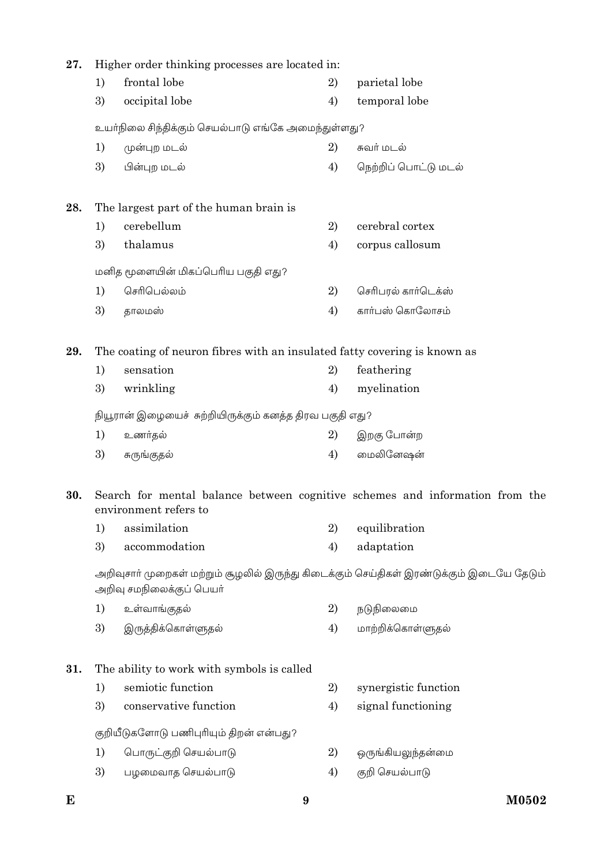| 27. | Higher order thinking processes are located in:                                                                      |                                                                                                       |    |                      |  |  |
|-----|----------------------------------------------------------------------------------------------------------------------|-------------------------------------------------------------------------------------------------------|----|----------------------|--|--|
|     | 1)                                                                                                                   | frontal lobe                                                                                          | 2) | parietal lobe        |  |  |
|     | 3)                                                                                                                   | occipital lobe                                                                                        | 4) | temporal lobe        |  |  |
|     |                                                                                                                      | உயா்நிலை சிந்திக்கும் செயல்பாடு எங்கே அமைந்துள்ளது?                                                   |    |                      |  |  |
|     | 1)                                                                                                                   | முன்புற மடல்                                                                                          | 2) | சுவர் மடல்           |  |  |
|     | 3)                                                                                                                   | பின்புற மடல்                                                                                          | 4) | நெற்றிப் பொட்டு மடல் |  |  |
| 28. |                                                                                                                      | The largest part of the human brain is                                                                |    |                      |  |  |
|     | 1)                                                                                                                   | cerebellum                                                                                            | 2) | cerebral cortex      |  |  |
|     | 3)                                                                                                                   | thalamus                                                                                              | 4) | corpus callosum      |  |  |
|     |                                                                                                                      | மனித மூளையின் மிகப்பெரிய பகுதி எது?                                                                   |    |                      |  |  |
|     | 1)                                                                                                                   | செரிபெல்லம்                                                                                           | 2) | செரிபரல் கார்டெக்ஸ்  |  |  |
|     | 3)                                                                                                                   | தாலமஸ்                                                                                                | 4) | கார்பஸ் கொலோசம்      |  |  |
| 29. | The coating of neuron fibres with an insulated fatty covering is known as                                            |                                                                                                       |    |                      |  |  |
|     | 1)                                                                                                                   | sensation                                                                                             | 2) | feathering           |  |  |
|     | 3)                                                                                                                   | wrinkling                                                                                             | 4) | myelination          |  |  |
|     | நியூரான் இழையைச் சுற்றியிருக்கும் கனத்த திரவ பகுதி எது?                                                              |                                                                                                       |    |                      |  |  |
|     | 1)                                                                                                                   | உணர்தல்                                                                                               | 2) | இறகு போன்ற           |  |  |
|     | 3)                                                                                                                   | சுருங்குதல்                                                                                           | 4) | மைலினேஷன்            |  |  |
| 30. |                                                                                                                      | Search for mental balance between cognitive schemes and information from the<br>environment refers to |    |                      |  |  |
|     | 1)                                                                                                                   | assimilation                                                                                          | 2) | equilibration        |  |  |
|     | 3)                                                                                                                   | accommodation                                                                                         | 4) | adaptation           |  |  |
|     | அறிவுசாா் முறைகள் மற்றும் சூழலில் இருந்து கிடைக்கும் செய்திகள் இரண்டுக்கும் இடையே தேடும்<br>அறிவு சமநிலைக்குப் பெயர் |                                                                                                       |    |                      |  |  |
|     | 1)                                                                                                                   | உள்வாங்குதல்                                                                                          | 2) | நடுநிலைமை            |  |  |
|     | 3)                                                                                                                   | இருத்திக்கொள்ளுதல்                                                                                    | 4) | மாற்றிக்கொள்ளுதல்    |  |  |
| 31. | The ability to work with symbols is called                                                                           |                                                                                                       |    |                      |  |  |
|     | 1)                                                                                                                   | semiotic function                                                                                     | 2) | synergistic function |  |  |
|     | 3)                                                                                                                   | conservative function                                                                                 | 4) | signal functioning   |  |  |
|     |                                                                                                                      | குறியீடுகளோடு பணிபுரியும் திறன் என்பது?                                                               |    |                      |  |  |
|     | 1)                                                                                                                   | பொருட்குறி செயல்பாடு                                                                                  | 2) | ஒருங்கியலுந்தன்மை    |  |  |
|     | 3)                                                                                                                   | பழமைவாத செயல்பாடு                                                                                     | 4) | குறி செயல்பாடு       |  |  |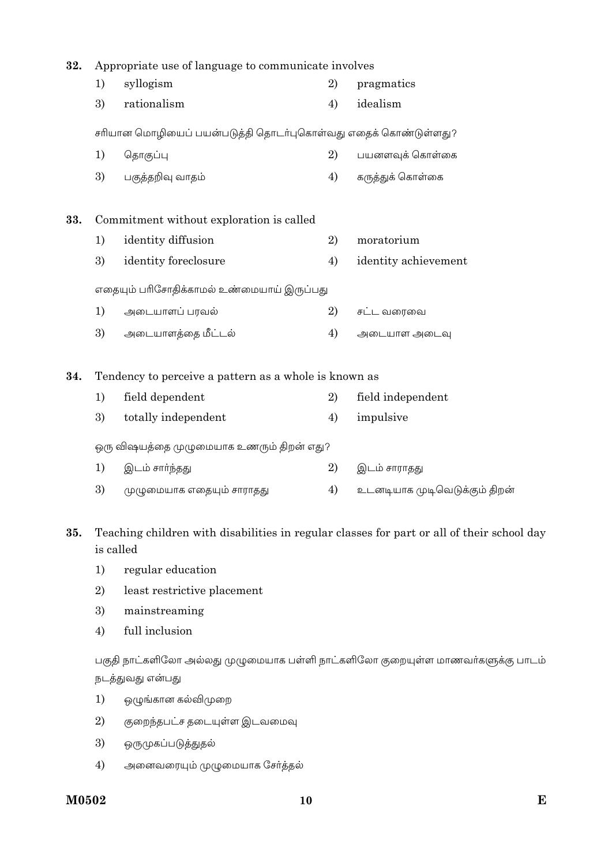| 32. | Appropriate use of language to communicate involves |                                                                                                         |    |                               |
|-----|-----------------------------------------------------|---------------------------------------------------------------------------------------------------------|----|-------------------------------|
|     | 1)                                                  | syllogism                                                                                               | 2) | pragmatics                    |
|     | 3)                                                  | rationalism                                                                                             | 4) | idealism                      |
|     |                                                     | சரியான மொழியைப் பயன்படுத்தி தொடர்புகொள்வது எதைக் கொண்டுள்ளது?                                           |    |                               |
|     | 1)                                                  | தொகுப்பு                                                                                                | 2) | பயனளவுக் கொள்கை               |
|     | 3)                                                  | பகுத்தறிவு வாதம்                                                                                        | 4) | கருத்துக் கொள்கை              |
| 33. |                                                     | Commitment without exploration is called                                                                |    |                               |
|     | 1)                                                  | identity diffusion                                                                                      | 2) | moratorium                    |
|     | 3)                                                  | identity foreclosure                                                                                    | 4) | identity achievement          |
|     |                                                     | எதையும் பாிசோதிக்காமல் உண்மையாய் இருப்பது                                                               |    |                               |
|     | 1)                                                  | அடையாளப் பரவல்                                                                                          | 2) | சட்ட வரைவை                    |
|     | 3)                                                  | அடையாளத்தை மீட்டல்                                                                                      | 4) | அடையாள அடைவு                  |
| 34. |                                                     | Tendency to perceive a pattern as a whole is known as                                                   |    |                               |
|     | 1)                                                  | field dependent                                                                                         | 2) | field independent             |
|     | 3)                                                  | totally independent                                                                                     | 4) | impulsive                     |
|     |                                                     | ஒரு விஷயத்தை முழுமையாக உணரும் திறன் எது?                                                                |    |                               |
|     | 1)                                                  | இடம் சார்ந்தது                                                                                          | 2) | இடம் சாராதது                  |
|     | 3)                                                  | முழுமையாக எதையும் சாராதது                                                                               | 4) | உடனடியாக முடிவெடுக்கும் திறன் |
| 35. |                                                     | Teaching children with disabilities in regular classes for part or all of their school day<br>is called |    |                               |
|     | 1)                                                  | regular education                                                                                       |    |                               |
|     | 2)                                                  | least restrictive placement                                                                             |    |                               |
|     | 3)                                                  | mainstreaming                                                                                           |    |                               |
|     | 4)                                                  | full inclusion                                                                                          |    |                               |

பகுதி நாட்களிலோ அல்லது முழுமையாக பள்ளி நாட்களிலோ குறையுள்ள மாணவர்களுக்கு பாடம் நடத்துவது என்பது

- ஒழுங்கான கல்விமுறை  $1)$
- 2) குறைந்தபட்ச தடையுள்ள இடவமைவு
- 3) ஒருமுகப்படுத்துதல்
- 4) அனைவரையும் முழுமையாக சேர்த்தல்

### M0502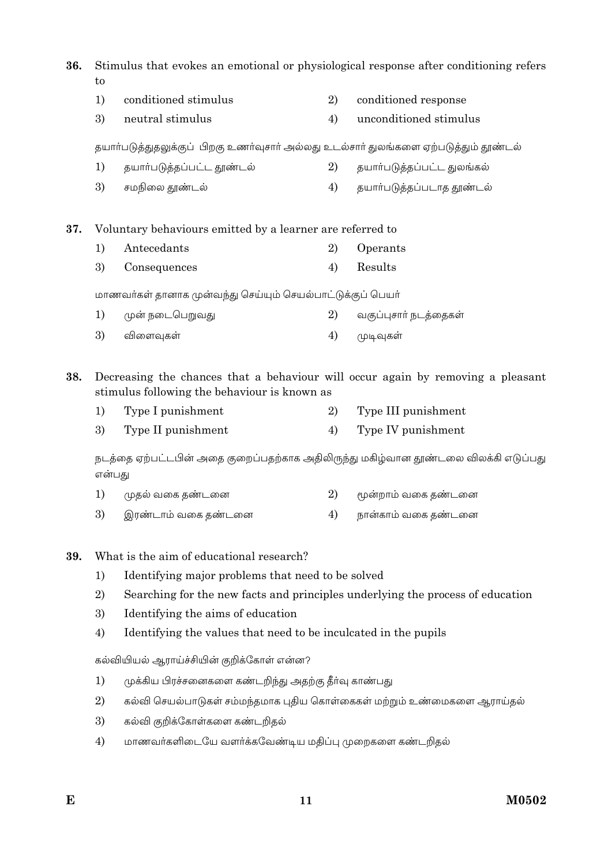36. Stimulus that evokes an emotional or physiological response after conditioning refers to

- $1)$ conditioned stimulus 2) conditioned response
- 3) neutral stimulus  $4)$ unconditioned stimulus

தயார்படுத்துதலுக்குப் பிறகு உணர்வுசார் அல்லது உடல்சார் துலங்களை ஏற்படுத்தும் தூண்டல்

- $1)$ தயார்படுத்தப்பட்ட தூண்டல் 2) தயார்படுத்தப்பட்ட துலங்கல்
- 3) சமநிலை தூண்டல் 4) தயார்படுத்தப்படாத தூண்டல்

37. Voluntary behaviours emitted by a learner are referred to

 $1)$ Antecedants  $(2)$ Operants  $\mathfrak{Z}$ Consequences  $4)$ Results

மாணவா்கள் தானாக முன்வந்து செய்யும் செயல்பாட்டுக்குப் பெயா்

 $1)$ முன் நடைபெறுவது 2) வகுப்புசார் நடத்தைகள் 3) விளைவுகள் 4) முடிவுகள்

38. Decreasing the chances that a behaviour will occur again by removing a pleasant stimulus following the behaviour is known as

 $1)$ Type I punishment  $2)$ Type III punishment 3) Type II punishment 4) Type IV punishment

நடத்தை ஏற்பட்டபின் அதை குறைப்பதற்காக அதிலிருந்து மகிழ்வான தூண்டலை விலக்கி எடுப்பது என்பகு

- $1)$ முதல் வகை தண்டனை 2) மூன்றாம் வகை தண்டனை
- 3) இரண்டாம் வகை தண்டனை 4) நான்காம் வகை தண்டனை

What is the aim of educational research? 39.

- Identifying major problems that need to be solved  $1)$
- $\overline{2}$ Searching for the new facts and principles underlying the process of education
- 3) Identifying the aims of education
- $4)$ Identifying the values that need to be inculcated in the pupils

கல்வியியல் ஆராய்ச்சியின் குறிக்கோள் என்ன?

- முக்கிய பிரச்சனைகளை கண்டறிந்து அதற்கு தீர்வு காண்பது  $1)$
- 2) கல்வி செயல்பாடுகள் சம்மந்தமாக புதிய கொள்கைகள் மற்றும் உண்மைகளை ஆராய்தல்
- 3) கல்வி குறிக்கோள்களை கண்டறிதல்
- $4)$ மாணவர்களிடையே வளர்க்கவேண்டிய மதிப்பு முறைகளை கண்டறிதல்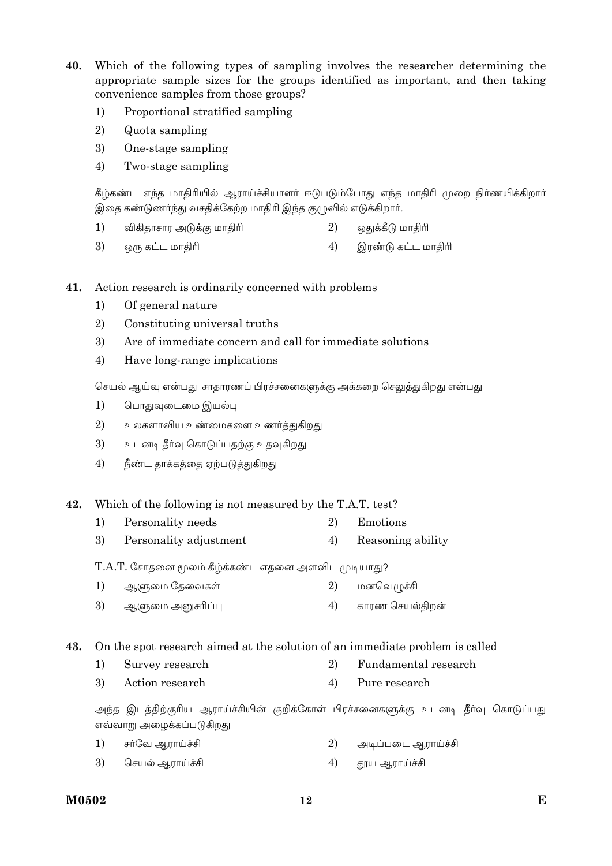- 40. Which of the following types of sampling involves the researcher determining the appropriate sample sizes for the groups identified as important, and then taking convenience samples from those groups?
	- $1)$ Proportional stratified sampling
	- 2) Quota sampling
	- $\mathfrak{Z}$ One-stage sampling
	- $4)$ Two-stage sampling

கீழ்கண்ட எந்த மாதிரியில் ஆராய்ச்சியாளர் ஈடுபடும்போது எந்த மாதிரி முறை நிர்ணயிக்கிறார் இதை கண்டுணர்ந்து வசதிக்கேற்ற மாதிரி இந்த குழுவில் எடுக்கிறார்.

- $1)$ விகிதாசார அடுக்கு மாதிரி 2) ஒதுக்கீடு மாதிரி
- 3) ஒரு கட்ட மாதிரி 4) இரண்டு கட்ட மாதிரி
- Action research is ordinarily concerned with problems 41.
	- $1)$ Of general nature
	- 2) Constituting universal truths
	- Are of immediate concern and call for immediate solutions 3)
	- 4) Have long-range implications

செயல் ஆய்வு என்பது சாதாரணப் பிரச்சனைகளுக்கு அக்கறை செலுத்துகிறது என்பது

- பொதுவுடைமை இயல்பு  $1)$
- 2) உலகளாவிய உண்மைகளை உணர்த்துகிறது
- 3) உடனடி தீர்வு கொடுப்பதற்கு உதவுகிறது
- 4) நீண்ட தாக்கத்தை ஏற்படுத்துகிறது
- 42. Which of the following is not measured by the T.A.T. test?
	- Personality needs  $\overline{2}$  $1)$ Emotions
	- 3) Personality adjustment  $4)$ Reasoning ability

T.A.T. சோதனை மூலம் கீழ்க்கண்ட எதனை அளவிட முடியாது?

- $1)$ ஆளுமை தேவைகள் 2) மனவெழுச்சி
- 3) ஆளுமை அனுசரிப்பு  $(4)$ காரண செயல்கிறன்

On the spot research aimed at the solution of an immediate problem is called 43.

- $(2)$ Fundamental research  $1)$ Survey research
- 3) Action research  $4)$ Pure research

அந்த இடத்திற்குரிய ஆராய்ச்சியின் குறிக்கோள் பிரச்சனைகளுக்கு உடனடி தீா்வு கொடுப்பது எவ்வாறு அழைக்கப்படுகிறது

- $1)$ சர்வே ஆராய்ச்சி 2) அடிப்படை ஆராய்ச்சி
- செயல் ஆராய்ச்சி  $(4)$ தூய ஆராய்ச்சி 3)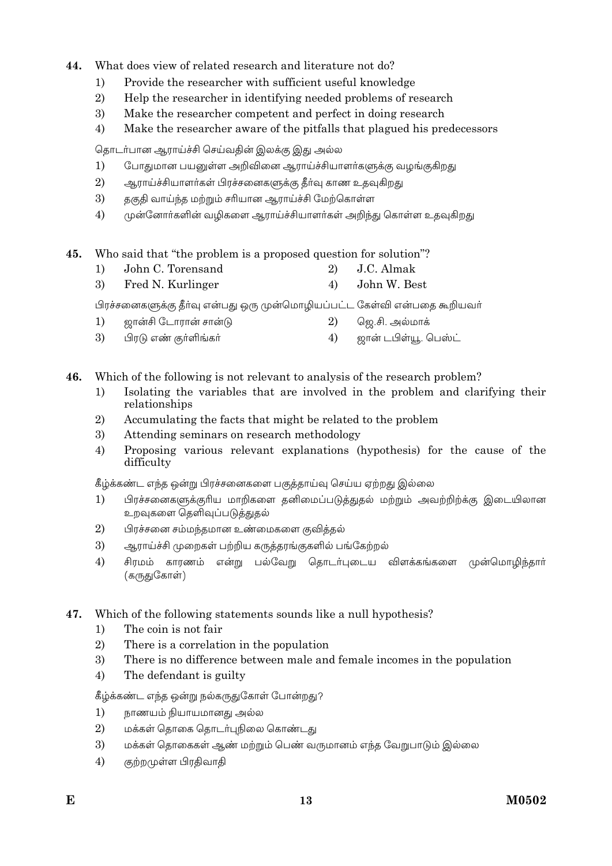- 44 What does view of related research and literature not do?
	- Provide the researcher with sufficient useful knowledge  $\left( \right)$
	- $\overline{2}$ Help the researcher in identifying needed problems of research
	- 3) Make the researcher competent and perfect in doing research
	- $4)$ Make the researcher aware of the pitfalls that plagued his predecessors

தொடர்பான ஆராய்ச்சி செய்வதின் இலக்கு இது அல்ல

- $1)$ போதுமான பயனுள்ள அறிவினை ஆராய்ச்சியாளர்களுக்கு வழங்குகிறது
- 2) ஆராய்ச்சியாளர்கள் பிரச்சனைகளுக்கு தீர்வு காண உதவுகிறது
- 3) தகுதி வாய்ந்த மற்றும் சரியான ஆராய்ச்சி மேற்கொள்ள
- 4) முன்னோா்களின் வழிகளை ஆராய்ச்சியாளா்கள் அறிந்து கொள்ள உதவுகிறது
- Who said that "the problem is a proposed question for solution"? 45.
	- $\left( \right)$ John C. Torensand 2) J.C. Almak
	- 3) Fred N. Kurlinger John W. Best  $4)$

பிரச்சனைகளுக்கு தீர்வு என்பது ஒரு முன்மொழியப்பட்ட கேள்வி என்பதை கூறியவர்

- ஜான்சி டோரான் சான்டு  $1)$ 2) ஜெ.சி. அல்மாக்
- 3) பிரடு எண் குர்ளிங்கர்  $4)$ ஜான் டபிள்யூ. பெஸ்ட்
- 46. Which of the following is not relevant to analysis of the research problem?
	- Isolating the variables that are involved in the problem and clarifying their  $1)$ relationships
	- 2) Accumulating the facts that might be related to the problem
	- 3) Attending seminars on research methodology
	- $4)$ Proposing various relevant explanations (hypothesis) for the cause of the difficulty

கீழ்க்கண்ட எந்த ஒன்று பிரச்சனைகளை பகுத்தாய்வு செய்ய ஏற்றது இல்லை

- பிரச்சனைகளுக்குரிய மாறிகளை தனிமைப்படுத்துதல் மற்றும் அவற்றிற்க்கு இடையிலான  $1)$ உறவுகளை தெளிவுப்படுத்துதல்
- 2) பிரச்சனை சம்மந்தமான உண்மைகளை குவித்தல்
- 3) ஆராய்ச்சி முறைகள் பற்றிய கருத்தரங்குகளில் பங்கேற்றல்
- சிரமம் காரணம் என்று பல்வேறு தொடர்புடைய விளக்கங்களை முன்மொழிந்தார்  $4)$ (கருதுகோள்)
- Which of the following statements sounds like a null hypothesis? 47.
	- The coin is not fair  $1)$
	- $2)$ There is a correlation in the population
	- 3) There is no difference between male and female incomes in the population
	- $4)$ The defendant is guilty

கீழ்க்கண்ட எந்த ஒன்று நல்கருதுகோள் போன்றது?

- $1)$ நாணயம் நியாயமானது அல்ல
- 2) மக்கள் தொகை தொடர்புநிலை கொண்டது
- 3) மக்கள் தொகைகள் ஆண் மற்றும் பெண் வருமானம் எந்த வேறுபாடும் இல்லை
- $4)$ குற்றமுள்ள பிரதிவாதி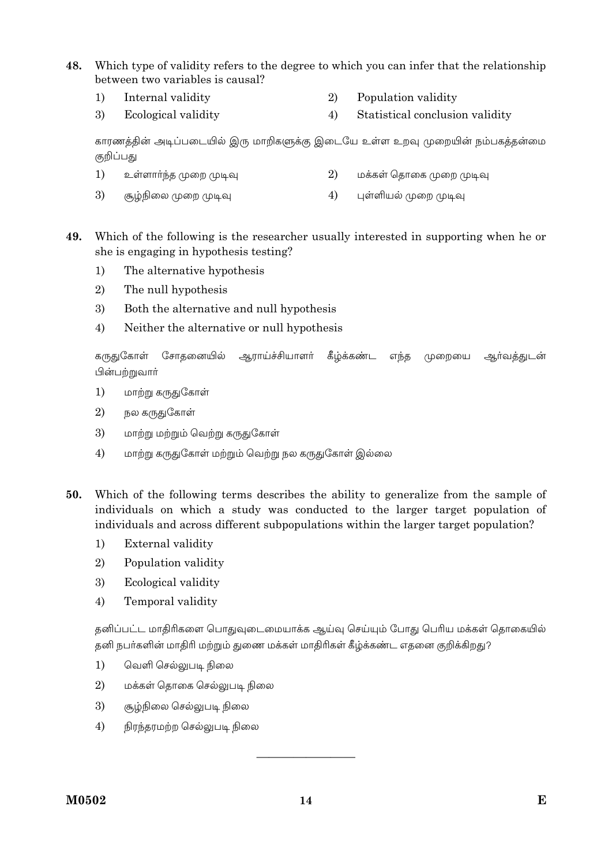- 48. Which type of validity refers to the degree to which you can infer that the relationship between two variables is causal?
	- $1)$ Internal validity  $(2)$ Population validity
	- 3) Ecological validity  $4)$ Statistical conclusion validity

காரணத்தின் அடிப்படையில் இரு மாறிகளுக்கு இடையே உள்ள உறவு முறையின் நம்பகத்தன்மை குறிப்பது

- $1)$ 2) உள்ளார்ந்த முறை முடிவு மக்கள் தொகை முறை முடிவு
- 3) சூழ்நிலை முறை முடிவு 4) புள்ளியல் முறை முடிவு
- 49. Which of the following is the researcher usually interested in supporting when he or she is engaging in hypothesis testing?
	- $1)$ The alternative hypothesis
	- $2)$ The null hypothesis
	- 3) Both the alternative and null hypothesis
	- $4)$ Neither the alternative or null hypothesis

கருதுகோள் சோகனையில் ஆராய்ச்சியாளர் கீழ்க்கண்ட எந்த முறையை ஆர்வத்துடன் பின்பற்றுவார்

- $1)$ மாற்று கருதுகோள்
- $\overline{2}$ நல கருதுகோள்
- 3) மாற்று மற்றும் வெற்று கருதுகோள்
- மாற்று கருதுகோள் மற்றும் வெற்று நல கருதுகோள் இல்லை 4)
- Which of the following terms describes the ability to generalize from the sample of 50. individuals on which a study was conducted to the larger target population of individuals and across different subpopulations within the larger target population?
	- External validity  $1)$
	- $\overline{2}$ Population validity
	- 3) Ecological validity
	- $4)$ Temporal validity

தனிப்பட்ட மாதிரிகளை பொதுவுடைமையாக்க ஆய்வு செய்யும் போது பெரிய மக்கள் தொகையில் தனி நபர்களின் மாதிரி மற்றும் துணை மக்கள் மாதிரிகள் கீழ்க்கண்ட எதனை குறிக்கிறது?

- $1)$ வெளி செல்லுபடி நிலை
- $2)$ மக்கள் தொகை செல்லுபடி நிலை
- 3) சூழ்நிலை செல்லுபடி நிலை
- $4)$ நிரந்தரமற்ற செல்லுபடி நிலை